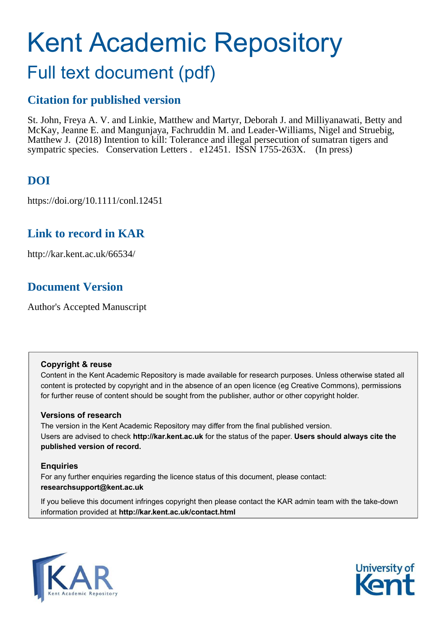# Kent Academic Repository

## Full text document (pdf)

### **Citation for published version**

St. John, Freya A. V. and Linkie, Matthew and Martyr, Deborah J. and Milliyanawati, Betty and McKay, Jeanne E. and Mangunjaya, Fachruddin M. and Leader-Williams, Nigel and Struebig, Matthew J. (2018) Intention to kill: Tolerance and illegal persecution of sumatran tigers and sympatric species. Conservation Letters . e12451. ISSN 1755-263X. (In press)

## **DOI**

https://doi.org/10.1111/conl.12451

## **Link to record in KAR**

http://kar.kent.ac.uk/66534/

## **Document Version**

Author's Accepted Manuscript

#### **Copyright & reuse**

Content in the Kent Academic Repository is made available for research purposes. Unless otherwise stated all content is protected by copyright and in the absence of an open licence (eg Creative Commons), permissions for further reuse of content should be sought from the publisher, author or other copyright holder.

#### **Versions of research**

The version in the Kent Academic Repository may differ from the final published version. Users are advised to check **http://kar.kent.ac.uk** for the status of the paper. **Users should always cite the published version of record.**

#### **Enquiries**

For any further enquiries regarding the licence status of this document, please contact: **researchsupport@kent.ac.uk**

If you believe this document infringes copyright then please contact the KAR admin team with the take-down information provided at **http://kar.kent.ac.uk/contact.html**



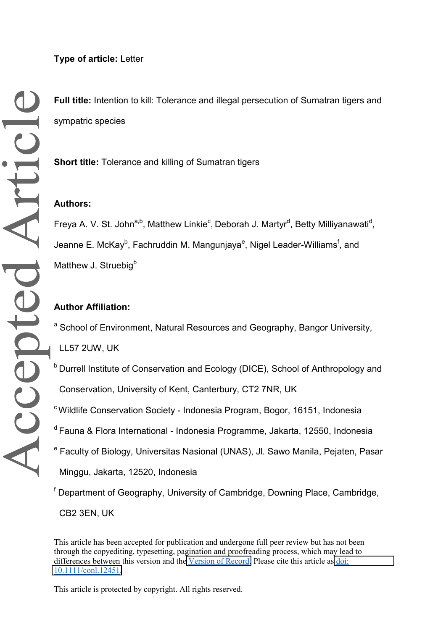**Full title:** Intention to kill: Tolerance and illegal persecution of Sumatran tigers and sympatric species

**Short title:** Tolerance and killing of Sumatran tigers

#### **Authors:**

Freya A. V. St. John<sup>a,b</sup>, Matthew Linkie<sup>c</sup>, Deborah J. Martyr<sup>d</sup>, Betty Milliyanawati<sup>d</sup>, Jeanne E. McKay<sup>b</sup>, Fachruddin M. Mangunjaya<sup>e</sup>, Nigel Leader-Williams<sup>f</sup>, and Matthew J. Struebig<sup>b</sup>

#### **Author Affiliation:**

<sup>a</sup> School of Environment, Natural Resources and Geography, Bangor University,

LL57 2UW, UK

- <sup>b</sup> Durrell Institute of Conservation and Ecology (DICE), School of Anthropology and Conservation, University of Kent, Canterbury, CT2 7NR, UK
- <sup>c</sup> Wildlife Conservation Society Indonesia Program, Bogor, 16151, Indonesia
- <sup>d</sup> Fauna & Flora International Indonesia Programme, Jakarta, 12550, Indonesia
- <sup>e</sup> Faculty of Biology, Universitas Nasional (UNAS), Jl. Sawo Manila, Pejaten, Pasar Minggu, Jakarta, 12520, Indonesia

<sup>f</sup> Department of Geography, University of Cambridge, Downing Place, Cambridge,

CB2 3EN, UK

This article has been accepted for publication and undergone full peer review but has not been through the copyediting, typesetting, pagination and proofreading process, which may lead to differences between this version and the [Version of Record.](https://doi.org/10.1111/conl.12451) Please cite this article as [doi:](https://doi.org/10.1111/conl.12451)  [10.1111/conl.12451.](https://doi.org/10.1111/conl.12451)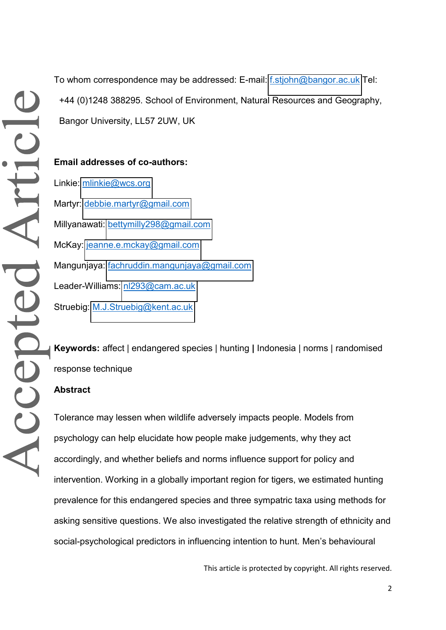To whom correspondence may be addressed: E-mail: [f.stjohn@bangor.ac.uk](mailto:f.stjohn@bangor.ac.uk) Tel: +44 (0)1248 388295. School of Environment, Natural Resources and Geography, Bangor University, LL57 2UW, UK

**Email addresses of co-authors:**  Linkie: [mlinkie@wcs.org](mailto:mlinkie@wcs.org) Martyr: [debbie.martyr@gmail.com](mailto:debbie.martyr@gmail.com) Millyanawati: [bettymilly298@gmail.com](mailto:bettymilly298@gmail.com) McKay: [jeanne.e.mckay@gmail.com](mailto:jeanne.e.mckay@gmail.com) Mangunjaya: [fachruddin.mangunjaya@gmail.com](mailto:fachruddin.mangunjaya@gmail.com) Leader-Williams: [nl293@cam.ac.uk](mailto:nl293@cam.ac.uk) Struebig: [M.J.Struebig@kent.ac.uk](mailto:M.J.Struebig@kent.ac.uk)

**Keywords:** affect | endangered species | hunting **|** Indonesia | norms | randomised response technique

#### **Abstract**

Tolerance may lessen when wildlife adversely impacts people. Models from psychology can help elucidate how people make judgements, why they act accordingly, and whether beliefs and norms influence support for policy and intervention. Working in a globally important region for tigers, we estimated hunting prevalence for this endangered species and three sympatric taxa using methods for asking sensitive questions. We also investigated the relative strength of ethnicity and social-psychological predictors in influencing intention to hunt. Men's behavioural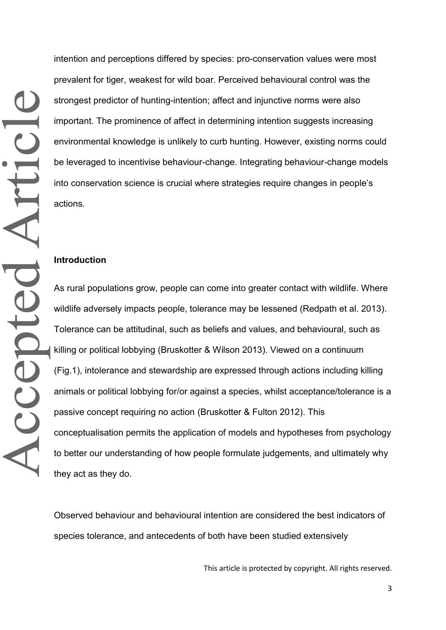intention and perceptions differed by species: pro-conservation values were most prevalent for tiger, weakest for wild boar. Perceived behavioural control was the strongest predictor of hunting-intention; affect and injunctive norms were also important. The prominence of affect in determining intention suggests increasing environmental knowledge is unlikely to curb hunting. However, existing norms could be leveraged to incentivise behaviour-change. Integrating behaviour-change models into conservation science is crucial where strategies require changes in people's actions.

#### **Introduction**

As rural populations grow, people can come into greater contact with wildlife. Where wildlife adversely impacts people, tolerance may be lessened (Redpath et al. 2013). Tolerance can be attitudinal, such as beliefs and values, and behavioural, such as killing or political lobbying (Bruskotter & Wilson 2013). Viewed on a continuum (Fig.1), intolerance and stewardship are expressed through actions including killing animals or political lobbying for/or against a species, whilst acceptance/tolerance is a passive concept requiring no action (Bruskotter & Fulton 2012). This conceptualisation permits the application of models and hypotheses from psychology to better our understanding of how people formulate judgements, and ultimately why they act as they do.

Observed behaviour and behavioural intention are considered the best indicators of species tolerance, and antecedents of both have been studied extensively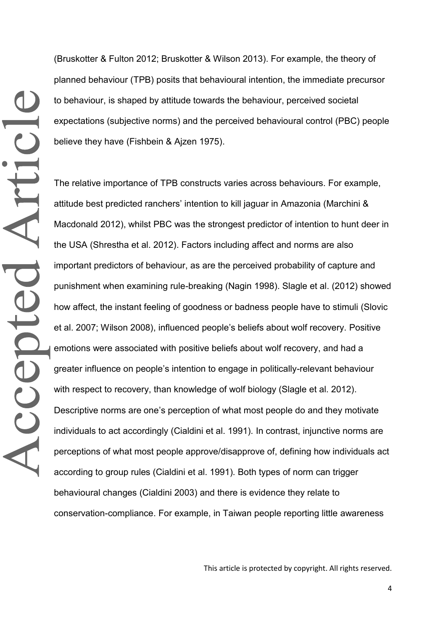(Bruskotter & Fulton 2012; Bruskotter & Wilson 2013). For example, the theory of planned behaviour (TPB) posits that behavioural intention, the immediate precursor to behaviour, is shaped by attitude towards the behaviour, perceived societal expectations (subjective norms) and the perceived behavioural control (PBC) people believe they have (Fishbein & Ajzen 1975).

The relative importance of TPB constructs varies across behaviours. For example, attitude best predicted ranchers' intention to kill jaguar in Amazonia (Marchini & Macdonald 2012), whilst PBC was the strongest predictor of intention to hunt deer in the USA (Shrestha et al. 2012). Factors including affect and norms are also important predictors of behaviour, as are the perceived probability of capture and punishment when examining rule-breaking (Nagin 1998). Slagle et al. (2012) showed how affect, the instant feeling of goodness or badness people have to stimuli (Slovic et al. 2007; Wilson 2008), influenced people's beliefs about wolf recovery. Positive emotions were associated with positive beliefs about wolf recovery, and had a greater influence on people's intention to engage in politically-relevant behaviour with respect to recovery, than knowledge of wolf biology (Slagle et al. 2012). Descriptive norms are one's perception of what most people do and they motivate individuals to act accordingly (Cialdini et al. 1991)*.* In contrast, injunctive norms are perceptions of what most people approve/disapprove of, defining how individuals act according to group rules (Cialdini et al. 1991)*.* Both types of norm can trigger behavioural changes (Cialdini 2003) and there is evidence they relate to conservation-compliance. For example, in Taiwan people reporting little awareness

This article is protected by copyright. All rights reserved.

4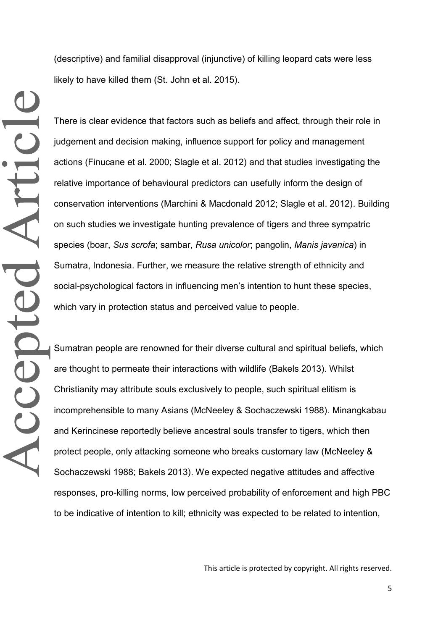(descriptive) and familial disapproval (injunctive) of killing leopard cats were less likely to have killed them (St. John et al. 2015).

There is clear evidence that factors such as beliefs and affect, through their role in judgement and decision making, influence support for policy and management actions (Finucane et al. 2000; Slagle et al. 2012) and that studies investigating the relative importance of behavioural predictors can usefully inform the design of conservation interventions (Marchini & Macdonald 2012; Slagle et al. 2012). Building on such studies we investigate hunting prevalence of tigers and three sympatric species (boar, *Sus scrofa*; sambar, *Rusa unicolor*; pangolin, *Manis javanica*) in Sumatra, Indonesia. Further, we measure the relative strength of ethnicity and social-psychological factors in influencing men's intention to hunt these species, which vary in protection status and perceived value to people.

Sumatran people are renowned for their diverse cultural and spiritual beliefs, which are thought to permeate their interactions with wildlife (Bakels 2013). Whilst Christianity may attribute souls exclusively to people, such spiritual elitism is incomprehensible to many Asians (McNeeley & Sochaczewski 1988). Minangkabau and Kerincinese reportedly believe ancestral souls transfer to tigers, which then protect people, only attacking someone who breaks customary law (McNeeley & Sochaczewski 1988; Bakels 2013). We expected negative attitudes and affective responses, pro-killing norms, low perceived probability of enforcement and high PBC to be indicative of intention to kill; ethnicity was expected to be related to intention,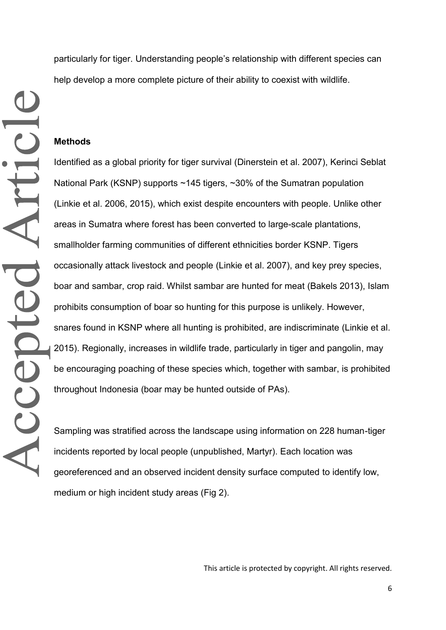particularly for tiger. Understanding people's relationship with different species can help develop a more complete picture of their ability to coexist with wildlife.

#### **Methods**

Accepted Article

Identified as a global priority for tiger survival (Dinerstein et al. 2007), Kerinci Seblat National Park (KSNP) supports ~145 tigers, ~30% of the Sumatran population (Linkie et al. 2006, 2015), which exist despite encounters with people. Unlike other areas in Sumatra where forest has been converted to large-scale plantations, smallholder farming communities of different ethnicities border KSNP. Tigers occasionally attack livestock and people (Linkie et al. 2007), and key prey species, boar and sambar, crop raid. Whilst sambar are hunted for meat (Bakels 2013), Islam prohibits consumption of boar so hunting for this purpose is unlikely. However, snares found in KSNP where all hunting is prohibited, are indiscriminate (Linkie et al. 2015). Regionally, increases in wildlife trade, particularly in tiger and pangolin, may be encouraging poaching of these species which, together with sambar, is prohibited throughout Indonesia (boar may be hunted outside of PAs).

Sampling was stratified across the landscape using information on 228 human-tiger incidents reported by local people (unpublished, Martyr). Each location was georeferenced and an observed incident density surface computed to identify low, medium or high incident study areas (Fig 2).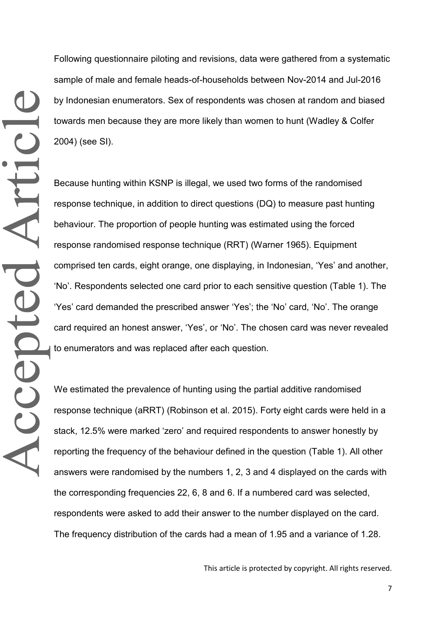Following questionnaire piloting and revisions, data were gathered from a systematic sample of male and female heads-of-households between Nov-2014 and Jul-2016 by Indonesian enumerators. Sex of respondents was chosen at random and biased towards men because they are more likely than women to hunt (Wadley & Colfer 2004) (see SI).

Because hunting within KSNP is illegal, we used two forms of the randomised response technique, in addition to direct questions (DQ) to measure past hunting behaviour. The proportion of people hunting was estimated using the forced response randomised response technique (RRT) (Warner 1965). Equipment comprised ten cards, eight orange, one displaying, in Indonesian, 'Yes' and another, 'No'. Respondents selected one card prior to each sensitive question (Table 1). The 'Yes' card demanded the prescribed answer 'Yes'; the 'No' card, 'No'. The orange card required an honest answer, 'Yes', or 'No'. The chosen card was never revealed to enumerators and was replaced after each question.

We estimated the prevalence of hunting using the partial additive randomised response technique (aRRT) (Robinson et al. 2015). Forty eight cards were held in a stack, 12.5% were marked 'zero' and required respondents to answer honestly by reporting the frequency of the behaviour defined in the question (Table 1). All other answers were randomised by the numbers 1, 2, 3 and 4 displayed on the cards with the corresponding frequencies 22, 6, 8 and 6. If a numbered card was selected, respondents were asked to add their answer to the number displayed on the card. The frequency distribution of the cards had a mean of 1.95 and a variance of 1.28.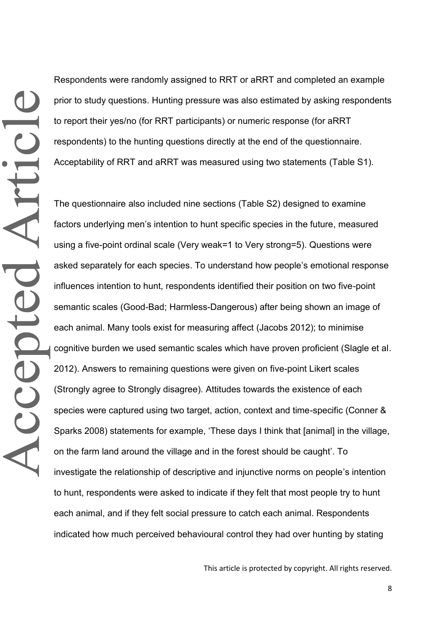Respondents were randomly assigned to RRT or aRRT and completed an example prior to study questions. Hunting pressure was also estimated by asking respondents to report their yes/no (for RRT participants) or numeric response (for aRRT respondents) to the hunting questions directly at the end of the questionnaire. Acceptability of RRT and aRRT was measured using two statements (Table S1).

The questionnaire also included nine sections (Table S2) designed to examine factors underlying men's intention to hunt specific species in the future, measured using a five-point ordinal scale (Very weak=1 to Very strong=5). Questions were asked separately for each species. To understand how people's emotional response influences intention to hunt, respondents identified their position on two five-point semantic scales (Good-Bad; Harmless-Dangerous) after being shown an image of each animal. Many tools exist for measuring affect (Jacobs 2012); to minimise cognitive burden we used semantic scales which have proven proficient (Slagle et al. 2012). Answers to remaining questions were given on five-point Likert scales (Strongly agree to Strongly disagree). Attitudes towards the existence of each species were captured using two target, action, context and time-specific (Conner & Sparks 2008) statements for example, 'These days I think that [animal] in the village, on the farm land around the village and in the forest should be caught'. To investigate the relationship of descriptive and injunctive norms on people's intention to hunt, respondents were asked to indicate if they felt that most people try to hunt each animal, and if they felt social pressure to catch each animal. Respondents indicated how much perceived behavioural control they had over hunting by stating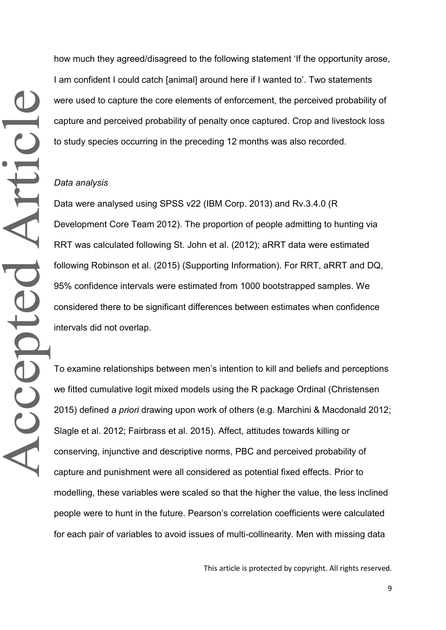how much they agreed/disagreed to the following statement 'If the opportunity arose, I am confident I could catch [animal] around here if I wanted to'. Two statements were used to capture the core elements of enforcement, the perceived probability of capture and perceived probability of penalty once captured. Crop and livestock loss to study species occurring in the preceding 12 months was also recorded.

#### *Data analysis*

Data were analysed using SPSS v22 (IBM Corp. 2013) and Rv.3.4.0 (R Development Core Team 2012). The proportion of people admitting to hunting via RRT was calculated following St. John et al. (2012); aRRT data were estimated following Robinson et al. (2015) (Supporting Information). For RRT, aRRT and DQ, 95% confidence intervals were estimated from 1000 bootstrapped samples. We considered there to be significant differences between estimates when confidence intervals did not overlap.

To examine relationships between men's intention to kill and beliefs and perceptions we fitted cumulative logit mixed models using the R package Ordinal (Christensen 2015) defined *a priori* drawing upon work of others (e.g. Marchini & Macdonald 2012; Slagle et al. 2012; Fairbrass et al. 2015). Affect, attitudes towards killing or conserving, injunctive and descriptive norms, PBC and perceived probability of capture and punishment were all considered as potential fixed effects. Prior to modelling, these variables were scaled so that the higher the value, the less inclined people were to hunt in the future. Pearson's correlation coefficients were calculated for each pair of variables to avoid issues of multi-collinearity. Men with missing data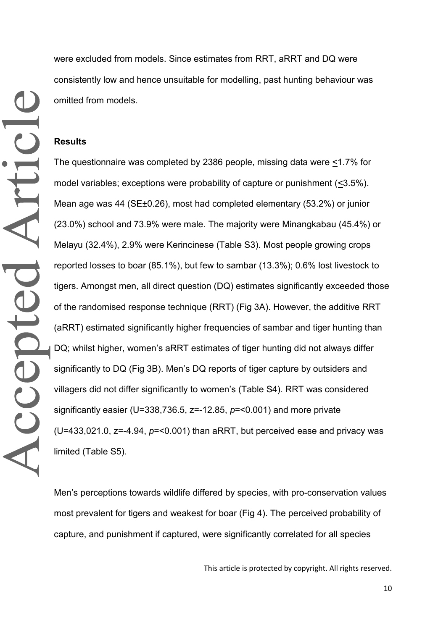were excluded from models. Since estimates from RRT, aRRT and DQ were consistently low and hence unsuitable for modelling, past hunting behaviour was omitted from models.

#### **Results**

The questionnaire was completed by 2386 people, missing data were <1.7% for model variables; exceptions were probability of capture or punishment  $(\leq 3.5\%)$ . Mean age was 44 (SE±0.26), most had completed elementary (53.2%) or junior (23.0%) school and 73.9% were male. The majority were Minangkabau (45.4%) or Melayu (32.4%), 2.9% were Kerincinese (Table S3). Most people growing crops reported losses to boar (85.1%), but few to sambar (13.3%); 0.6% lost livestock to tigers. Amongst men, all direct question (DQ) estimates significantly exceeded those of the randomised response technique (RRT) (Fig 3A). However, the additive RRT (aRRT) estimated significantly higher frequencies of sambar and tiger hunting than DQ; whilst higher, women's aRRT estimates of tiger hunting did not always differ significantly to DQ (Fig 3B). Men's DQ reports of tiger capture by outsiders and villagers did not differ significantly to women's (Table S4). RRT was considered significantly easier (U=338,736.5, z=-12.85, *p*=<0.001) and more private (U=433,021.0, z=-4.94, *p*=<0.001) than aRRT, but perceived ease and privacy was limited (Table S5).

Men's perceptions towards wildlife differed by species, with pro-conservation values most prevalent for tigers and weakest for boar (Fig 4). The perceived probability of capture, and punishment if captured, were significantly correlated for all species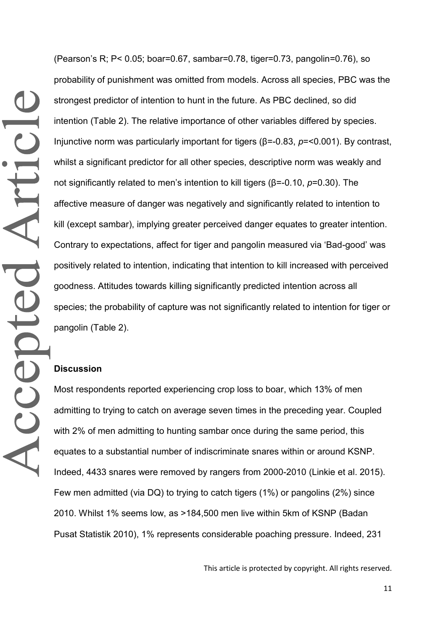(Pearson's R; P< 0.05; boar=0.67, sambar=0.78, tiger=0.73, pangolin=0.76), so probability of punishment was omitted from models. Across all species, PBC was the strongest predictor of intention to hunt in the future. As PBC declined, so did intention (Table 2). The relative importance of other variables differed by species. Injunctive norm was particularly important for tigers ( $\beta$ =-0.83,  $p$ =<0.001). By contrast, whilst a significant predictor for all other species, descriptive norm was weakly and not significantly related to men's intention to kill tigers ( $\beta$ =-0.10,  $p$ =0.30). The affective measure of danger was negatively and significantly related to intention to kill (except sambar), implying greater perceived danger equates to greater intention. Contrary to expectations, affect for tiger and pangolin measured via 'Bad-good' was positively related to intention, indicating that intention to kill increased with perceived goodness. Attitudes towards killing significantly predicted intention across all species; the probability of capture was not significantly related to intention for tiger or pangolin (Table 2).

#### **Discussion**

Most respondents reported experiencing crop loss to boar, which 13% of men admitting to trying to catch on average seven times in the preceding year. Coupled with 2% of men admitting to hunting sambar once during the same period, this equates to a substantial number of indiscriminate snares within or around KSNP. Indeed, 4433 snares were removed by rangers from 2000-2010 (Linkie et al. 2015). Few men admitted (via DQ) to trying to catch tigers (1%) or pangolins (2%) since 2010. Whilst 1% seems low, as >184,500 men live within 5km of KSNP (Badan Pusat Statistik 2010), 1% represents considerable poaching pressure. Indeed, 231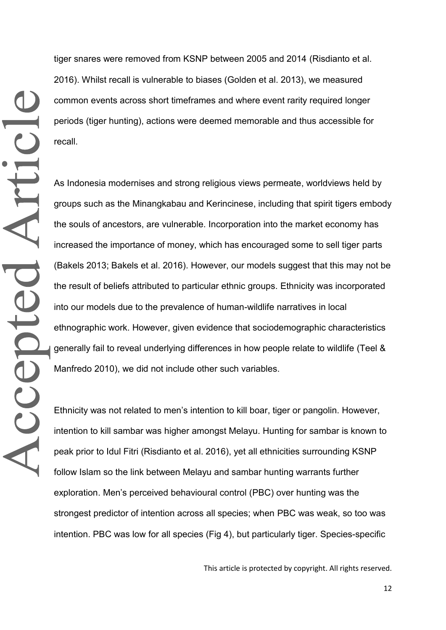tiger snares were removed from KSNP between 2005 and 2014 (Risdianto et al. 2016). Whilst recall is vulnerable to biases (Golden et al. 2013), we measured common events across short timeframes and where event rarity required longer periods (tiger hunting), actions were deemed memorable and thus accessible for recall.

As Indonesia modernises and strong religious views permeate, worldviews held by groups such as the Minangkabau and Kerincinese, including that spirit tigers embody the souls of ancestors, are vulnerable. Incorporation into the market economy has increased the importance of money, which has encouraged some to sell tiger parts (Bakels 2013; Bakels et al. 2016). However, our models suggest that this may not be the result of beliefs attributed to particular ethnic groups. Ethnicity was incorporated into our models due to the prevalence of human-wildlife narratives in local ethnographic work. However, given evidence that sociodemographic characteristics generally fail to reveal underlying differences in how people relate to wildlife (Teel & Manfredo 2010), we did not include other such variables.

Ethnicity was not related to men's intention to kill boar, tiger or pangolin. However, intention to kill sambar was higher amongst Melayu. Hunting for sambar is known to peak prior to Idul Fitri (Risdianto et al. 2016), yet all ethnicities surrounding KSNP follow Islam so the link between Melayu and sambar hunting warrants further exploration. Men's perceived behavioural control (PBC) over hunting was the strongest predictor of intention across all species; when PBC was weak, so too was intention. PBC was low for all species (Fig 4), but particularly tiger. Species-specific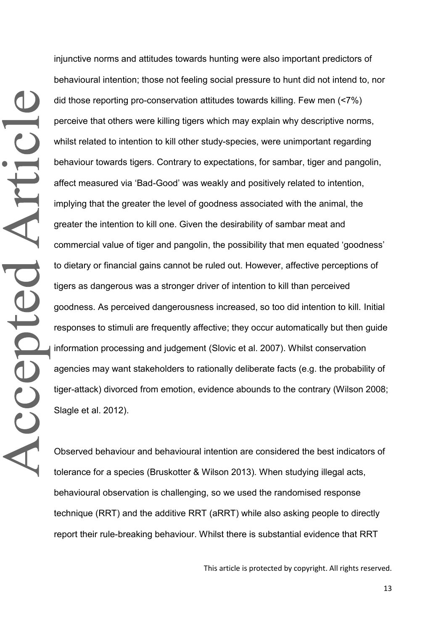injunctive norms and attitudes towards hunting were also important predictors of behavioural intention; those not feeling social pressure to hunt did not intend to, nor did those reporting pro-conservation attitudes towards killing. Few men (<7%) perceive that others were killing tigers which may explain why descriptive norms, whilst related to intention to kill other study-species, were unimportant regarding behaviour towards tigers. Contrary to expectations, for sambar, tiger and pangolin, affect measured via 'Bad-Good' was weakly and positively related to intention, implying that the greater the level of goodness associated with the animal, the greater the intention to kill one. Given the desirability of sambar meat and commercial value of tiger and pangolin, the possibility that men equated 'goodness' to dietary or financial gains cannot be ruled out. However, affective perceptions of tigers as dangerous was a stronger driver of intention to kill than perceived goodness. As perceived dangerousness increased, so too did intention to kill. Initial responses to stimuli are frequently affective; they occur automatically but then guide information processing and judgement (Slovic et al. 2007). Whilst conservation agencies may want stakeholders to rationally deliberate facts (e.g. the probability of tiger-attack) divorced from emotion, evidence abounds to the contrary (Wilson 2008; Slagle et al. 2012).

Observed behaviour and behavioural intention are considered the best indicators of tolerance for a species (Bruskotter & Wilson 2013)*.* When studying illegal acts, behavioural observation is challenging, so we used the randomised response technique (RRT) and the additive RRT (aRRT) while also asking people to directly report their rule-breaking behaviour. Whilst there is substantial evidence that RRT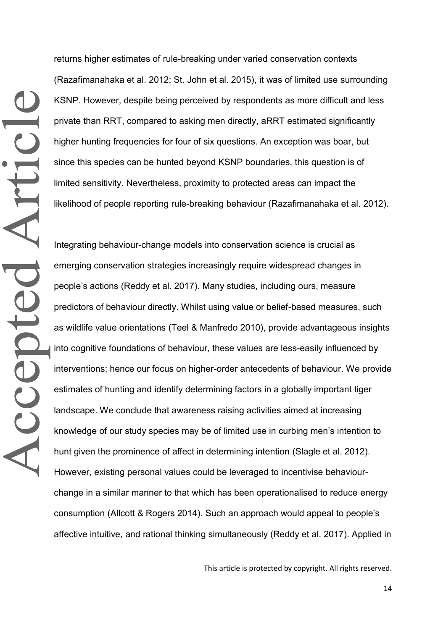returns higher estimates of rule-breaking under varied conservation contexts (Razafimanahaka et al. 2012; St. John et al. 2015), it was of limited use surrounding KSNP. However, despite being perceived by respondents as more difficult and less private than RRT, compared to asking men directly, aRRT estimated significantly higher hunting frequencies for four of six questions. An exception was boar, but since this species can be hunted beyond KSNP boundaries, this question is of limited sensitivity. Nevertheless, proximity to protected areas can impact the likelihood of people reporting rule-breaking behaviour (Razafimanahaka et al. 2012).

Integrating behaviour-change models into conservation science is crucial as emerging conservation strategies increasingly require widespread changes in people's actions (Reddy et al. 2017). Many studies, including ours, measure predictors of behaviour directly. Whilst using value or belief-based measures, such as wildlife value orientations (Teel & Manfredo 2010), provide advantageous insights into cognitive foundations of behaviour, these values are less-easily influenced by interventions; hence our focus on higher-order antecedents of behaviour. We provide estimates of hunting and identify determining factors in a globally important tiger landscape. We conclude that awareness raising activities aimed at increasing knowledge of our study species may be of limited use in curbing men's intention to hunt given the prominence of affect in determining intention (Slagle et al. 2012). However, existing personal values could be leveraged to incentivise behaviourchange in a similar manner to that which has been operationalised to reduce energy consumption (Allcott & Rogers 2014). Such an approach would appeal to people's affective intuitive, and rational thinking simultaneously (Reddy et al. 2017). Applied in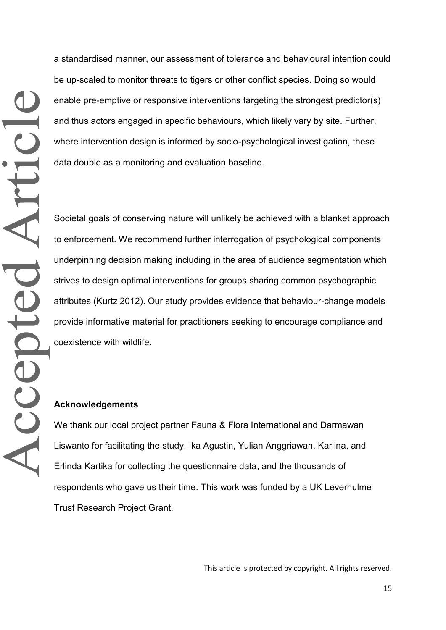a standardised manner, our assessment of tolerance and behavioural intention could be up-scaled to monitor threats to tigers or other conflict species. Doing so would enable pre-emptive or responsive interventions targeting the strongest predictor(s) and thus actors engaged in specific behaviours, which likely vary by site. Further, where intervention design is informed by socio-psychological investigation, these data double as a monitoring and evaluation baseline.

Societal goals of conserving nature will unlikely be achieved with a blanket approach to enforcement. We recommend further interrogation of psychological components underpinning decision making including in the area of audience segmentation which strives to design optimal interventions for groups sharing common psychographic attributes (Kurtz 2012). Our study provides evidence that behaviour-change models provide informative material for practitioners seeking to encourage compliance and coexistence with wildlife.

#### **Acknowledgements**

We thank our local project partner Fauna & Flora International and Darmawan Liswanto for facilitating the study, Ika Agustin, Yulian Anggriawan, Karlina, and Erlinda Kartika for collecting the questionnaire data, and the thousands of respondents who gave us their time. This work was funded by a UK Leverhulme Trust Research Project Grant.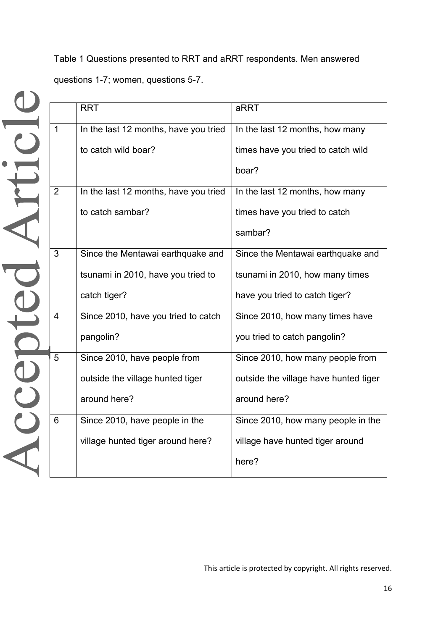Table 1 Questions presented to RRT and aRRT respondents. Men answered questions 1-7; women, questions 5-7.

|                | <b>RRT</b>                            | aRRT                                  |  |  |  |
|----------------|---------------------------------------|---------------------------------------|--|--|--|
| $\mathbf{1}$   | In the last 12 months, have you tried | In the last 12 months, how many       |  |  |  |
|                | to catch wild boar?                   | times have you tried to catch wild    |  |  |  |
|                |                                       | boar?                                 |  |  |  |
| 2              | In the last 12 months, have you tried | In the last 12 months, how many       |  |  |  |
|                | to catch sambar?                      | times have you tried to catch         |  |  |  |
|                |                                       | sambar?                               |  |  |  |
| 3              | Since the Mentawai earthquake and     | Since the Mentawai earthquake and     |  |  |  |
|                | tsunami in 2010, have you tried to    | tsunami in 2010, how many times       |  |  |  |
|                | catch tiger?                          | have you tried to catch tiger?        |  |  |  |
| $\overline{4}$ | Since 2010, have you tried to catch   | Since 2010, how many times have       |  |  |  |
|                | pangolin?                             | you tried to catch pangolin?          |  |  |  |
| 5              | Since 2010, have people from          | Since 2010, how many people from      |  |  |  |
|                | outside the village hunted tiger      | outside the village have hunted tiger |  |  |  |
|                | around here?                          | around here?                          |  |  |  |
| 6              | Since 2010, have people in the        | Since 2010, how many people in the    |  |  |  |
|                | village hunted tiger around here?     | village have hunted tiger around      |  |  |  |
|                |                                       | here?                                 |  |  |  |
|                |                                       |                                       |  |  |  |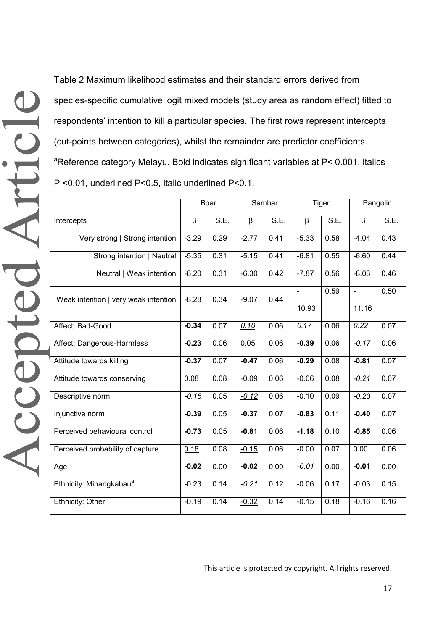Table 2 Maximum likelihood estimates and their standard errors derived from species-specific cumulative logit mixed models (study area as random effect) fitted to respondents' intention to kill a particular species. The first rows represent intercepts (cut-points between categories), whilst the remainder are predictor coefficients. <sup>a</sup>Reference category Melayu. Bold indicates significant variables at P< 0.001, italics P <0.01, underlined P<0.5, italic underlined P<0.1.

|                                      | Boar    |      | Sambar             |      | <b>Tiger</b>            |                   | Pangolin                |                   |
|--------------------------------------|---------|------|--------------------|------|-------------------------|-------------------|-------------------------|-------------------|
| Intercepts                           | β       | SE.  | $\overline{\beta}$ | SE.  | $\overline{\beta}$      | S.E.              | $\overline{\beta}$      | S.E.              |
| Very strong   Strong intention       | $-3.29$ | 0.29 | $-2.77$            | 0.41 | $-5.33$                 | 0.58              | $-4.04$                 | 0.43              |
| Strong intention   Neutral           | $-5.35$ | 0.31 | $-5.15$            | 0.41 | $-6.81$                 | 0.55              | $-6.60$                 | 0.44              |
| Neutral   Weak intention             | $-6.20$ | 0.31 | $-6.30$            | 0.42 | $-7.87$                 | 0.56              | $-8.03$                 | 0.46              |
| Weak intention   very weak intention | $-8.28$ | 0.34 | $-9.07$            | 0.44 | $\blacksquare$<br>10.93 | 0.59              | $\blacksquare$<br>11.16 | 0.50              |
| Affect: Bad-Good                     | $-0.34$ | 0.07 | 0.10               | 0.06 | 0.17                    | 0.06              | 0.22                    | $\overline{0.07}$ |
| Affect: Dangerous-Harmless           | $-0.23$ | 0.06 | 0.05               | 0.06 | $-0.39$                 | 0.06              | $-0.17$                 | 0.06              |
| Attitude towards killing             | $-0.37$ | 0.07 | $-0.47$            | 0.06 | $-0.29$                 | 0.08              | $-0.81$                 | $\overline{0.07}$ |
| Attitude towards conserving          | 0.08    | 0.08 | $-0.09$            | 0.06 | $-0.06$                 | 0.08              | $-0.21$                 | 0.07              |
| Descriptive norm                     | $-0.15$ | 0.05 | $-0.12$            | 0.06 | $-0.10$                 | 0.09              | $-0.23$                 | $\overline{0.07}$ |
| Injunctive norm                      | $-0.39$ | 0.05 | $-0.37$            | 0.07 | $-0.83$                 | 0.11              | $-0.40$                 | 0.07              |
| Perceived behavioural control        | $-0.73$ | 0.05 | $-0.81$            | 0.06 | $-1.18$                 | 0.10              | $-0.85$                 | 0.06              |
| Perceived probability of capture     | 0.18    | 0.08 | $-0.15$            | 0.06 | $-0.00$                 | $\overline{0.07}$ | 0.00                    | 0.06              |
| Age                                  | $-0.02$ | 0.00 | $-0.02$            | 0.00 | $-0.01$                 | 0.00              | $-0.01$                 | 0.00              |
| Ethnicity: Minangkabau <sup>a</sup>  | $-0.23$ | 0.14 | $-0.21$            | 0.12 | $-0.06$                 | 0.17              | $-0.03$                 | 0.15              |
| Ethnicity: Other                     | $-0.19$ | 0.14 | $-0.32$            | 0.14 | $-0.15$                 | 0.18              | $-0.16$                 | 0.16              |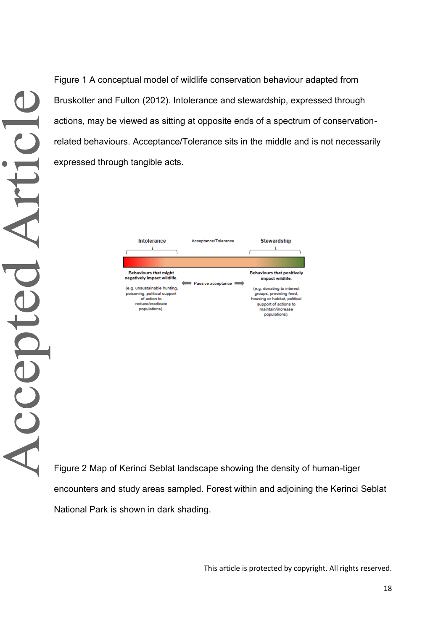Figure 1 A conceptual model of wildlife conservation behaviour adapted from Bruskotter and Fulton (2012). Intolerance and stewardship, expressed through actions, may be viewed as sitting at opposite ends of a spectrum of conservationrelated behaviours. Acceptance/Tolerance sits in the middle and is not necessarily expressed through tangible acts.



Figure 2 Map of Kerinci Seblat landscape showing the density of human-tiger encounters and study areas sampled. Forest within and adjoining the Kerinci Seblat National Park is shown in dark shading.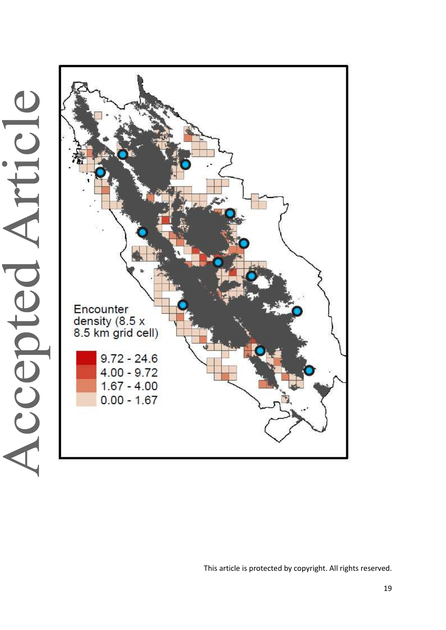

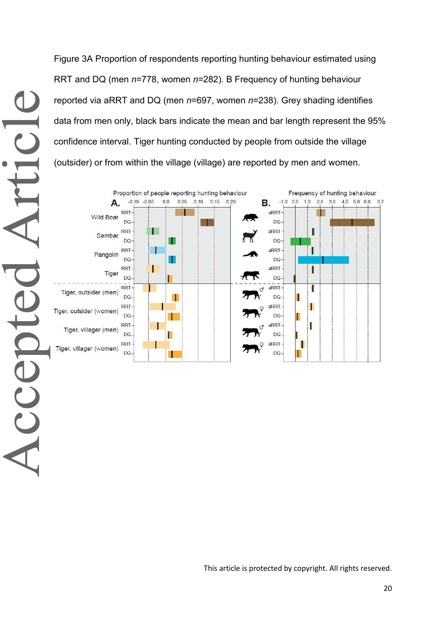Figure 3A Proportion of respondents reporting hunting behaviour estimated using RRT and DQ (men *n*=778, women *n*=282). B Frequency of hunting behaviour reported via aRRT and DQ (men *n*=697, women *n*=238). Grey shading identifies data from men only, black bars indicate the mean and bar length represent the 95% confidence interval. Tiger hunting conducted by people from outside the village (outsider) or from within the village (village) are reported by men and women.

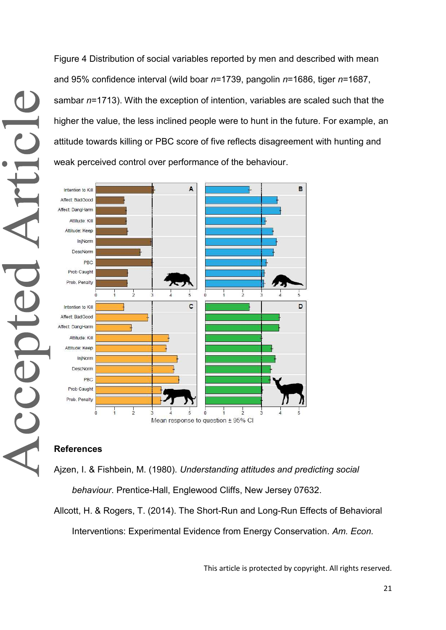Figure 4 Distribution of social variables reported by men and described with mean and 95% confidence interval (wild boar *n*=1739, pangolin *n*=1686, tiger *n*=1687, sambar *n*=1713). With the exception of intention, variables are scaled such that the higher the value, the less inclined people were to hunt in the future. For example, an attitude towards killing or PBC score of five reflects disagreement with hunting and weak perceived control over performance of the behaviour.



#### **References**

Ajzen, I. & Fishbein, M. (1980). *Understanding attitudes and predicting social behaviour*. Prentice-Hall, Englewood Cliffs, New Jersey 07632.

Allcott, H. & Rogers, T. (2014). The Short-Run and Long-Run Effects of Behavioral Interventions: Experimental Evidence from Energy Conservation. *Am. Econ.*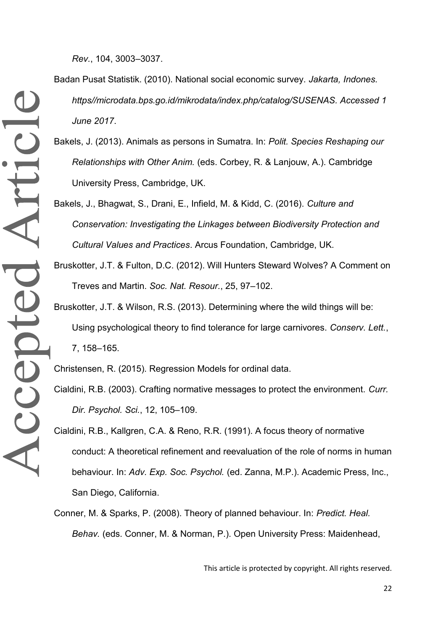*Rev.*, 104, 3003–3037.

Accepted Article

- Badan Pusat Statistik. (2010). National social economic survey. *Jakarta, Indones. https//microdata.bps.go.id/mikrodata/index.php/catalog/SUSENAS. Accessed 1 June 2017*.
- Bakels, J. (2013). Animals as persons in Sumatra. In: *Polit. Species Reshaping our Relationships with Other Anim.* (eds. Corbey, R. & Lanjouw, A.). Cambridge University Press, Cambridge, UK.
- Bakels, J., Bhagwat, S., Drani, E., Infield, M. & Kidd, C. (2016). *Culture and Conservation: Investigating the Linkages between Biodiversity Protection and Cultural Values and Practices*. Arcus Foundation, Cambridge, UK.
- Bruskotter, J.T. & Fulton, D.C. (2012). Will Hunters Steward Wolves? A Comment on Treves and Martin. *Soc. Nat. Resour.*, 25, 97–102.
- Bruskotter, J.T. & Wilson, R.S. (2013). Determining where the wild things will be: Using psychological theory to find tolerance for large carnivores. *Conserv. Lett.*, 7, 158–165.

Christensen, R. (2015). Regression Models for ordinal data.

- Cialdini, R.B. (2003). Crafting normative messages to protect the environment. *Curr. Dir. Psychol. Sci.*, 12, 105–109.
- Cialdini, R.B., Kallgren, C.A. & Reno, R.R. (1991). A focus theory of normative conduct: A theoretical refinement and reevaluation of the role of norms in human behaviour. In: *Adv. Exp. Soc. Psychol.* (ed. Zanna, M.P.). Academic Press, Inc., San Diego, California.
- Conner, M. & Sparks, P. (2008). Theory of planned behaviour. In: *Predict. Heal. Behav.* (eds. Conner, M. & Norman, P.). Open University Press: Maidenhead,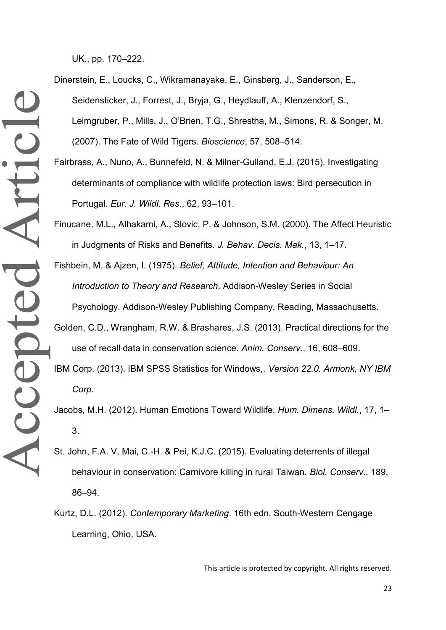UK., pp. 170–222.

Dinerstein, E., Loucks, C., Wikramanayake, E., Ginsberg, J., Sanderson, E., Seidensticker, J., Forrest, J., Bryja, G., Heydlauff, A., Klenzendorf, S., Leimgruber, P., Mills, J., O'Brien, T.G., Shrestha, M., Simons, R. & Songer, M. (2007). The Fate of Wild Tigers. *Bioscience*, 57, 508–514.

Fairbrass, A., Nuno, A., Bunnefeld, N. & Milner-Gulland, E.J. (2015). Investigating determinants of compliance with wildlife protection laws: Bird persecution in Portugal. *Eur. J. Wildl. Res.*, 62, 93–101.

Finucane, M.L., Alhakami, A., Slovic, P. & Johnson, S.M. (2000). The Affect Heuristic in Judgments of Risks and Benefits. *J. Behav. Decis. Mak.*, 13, 1–17.

Fishbein, M. & Ajzen, I. (1975). *Belief, Attitude, Intention and Behaviour: An Introduction to Theory and Research*. Addison-Wesley Series in Social Psychology. Addison-Wesley Publishing Company, Reading, Massachusetts. Golden, C.D., Wrangham, R.W. & Brashares, J.S. (2013). Practical directions for the

IBM Corp. (2013). IBM SPSS Statistics for Windows,. *Version 22.0. Armonk, NY IBM Corp.*

use of recall data in conservation science. *Anim. Conserv.*, 16, 608–609.

Jacobs, M.H. (2012). Human Emotions Toward Wildlife. *Hum. Dimens. Wildl.*, 17, 1– 3.

St. John, F.A. V, Mai, C.-H. & Pei, K.J.C. (2015). Evaluating deterrents of illegal behaviour in conservation: Carnivore killing in rural Taiwan. *Biol. Conserv.*, 189, 86–94.

Kurtz, D.L. (2012). *Contemporary Marketing*. 16th edn. South-Western Cengage Learning, Ohio, USA.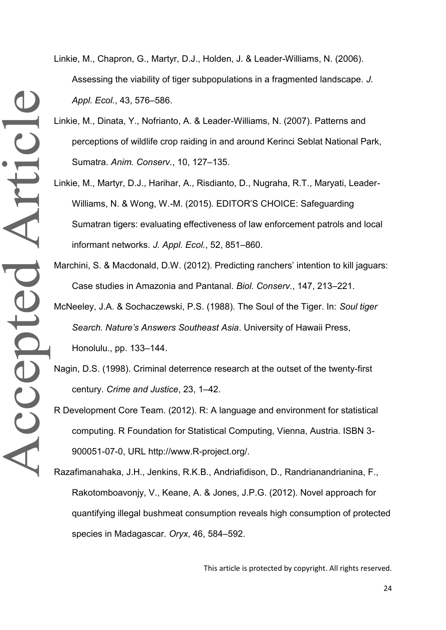- Linkie, M., Chapron, G., Martyr, D.J., Holden, J. & Leader-Williams, N. (2006). Assessing the viability of tiger subpopulations in a fragmented landscape. *J. Appl. Ecol.*, 43, 576–586.
- Linkie, M., Dinata, Y., Nofrianto, A. & Leader-Williams, N. (2007). Patterns and perceptions of wildlife crop raiding in and around Kerinci Seblat National Park, Sumatra. *Anim. Conserv.*, 10, 127–135.
- Linkie, M., Martyr, D.J., Harihar, A., Risdianto, D., Nugraha, R.T., Maryati, Leader-Williams, N. & Wong, W.-M. (2015). EDITOR'S CHOICE: Safeguarding Sumatran tigers: evaluating effectiveness of law enforcement patrols and local informant networks. *J. Appl. Ecol.*, 52, 851–860.
- Marchini, S. & Macdonald, D.W. (2012). Predicting ranchers' intention to kill jaguars: Case studies in Amazonia and Pantanal. *Biol. Conserv.*, 147, 213–221.
- McNeeley, J.A. & Sochaczewski, P.S. (1988). The Soul of the Tiger. In: *Soul tiger Search. Nature's Answers Southeast Asia*. University of Hawaii Press, Honolulu., pp. 133–144.
- Nagin, D.S. (1998). Criminal deterrence research at the outset of the twenty-first century. *Crime and Justice*, 23, 1–42.
- R Development Core Team. (2012). R: A language and environment for statistical computing. R Foundation for Statistical Computing, Vienna, Austria. ISBN 3- 900051-07-0, URL http://www.R-project.org/.
- Razafimanahaka, J.H., Jenkins, R.K.B., Andriafidison, D., Randrianandrianina, F., Rakotomboavonjy, V., Keane, A. & Jones, J.P.G. (2012). Novel approach for quantifying illegal bushmeat consumption reveals high consumption of protected species in Madagascar. *Oryx*, 46, 584–592.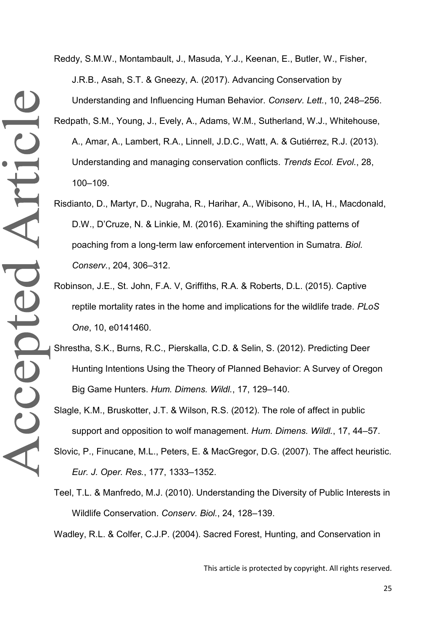Reddy, S.M.W., Montambault, J., Masuda, Y.J., Keenan, E., Butler, W., Fisher, J.R.B., Asah, S.T. & Gneezy, A. (2017). Advancing Conservation by Understanding and Influencing Human Behavior. *Conserv. Lett.*, 10, 248–256. Redpath, S.M., Young, J., Evely, A., Adams, W.M., Sutherland, W.J., Whitehouse, A., Amar, A., Lambert, R.A., Linnell, J.D.C., Watt, A. & Gutiérrez, R.J. (2013). Understanding and managing conservation conflicts. *Trends Ecol. Evol.*, 28,

100–109.

- Risdianto, D., Martyr, D., Nugraha, R., Harihar, A., Wibisono, H., IA, H., Macdonald, D.W., D'Cruze, N. & Linkie, M. (2016). Examining the shifting patterns of poaching from a long-term law enforcement intervention in Sumatra. *Biol. Conserv.*, 204, 306–312.
- Robinson, J.E., St. John, F.A. V, Griffiths, R.A. & Roberts, D.L. (2015). Captive reptile mortality rates in the home and implications for the wildlife trade. *PLoS One*, 10, e0141460.
- Shrestha, S.K., Burns, R.C., Pierskalla, C.D. & Selin, S. (2012). Predicting Deer Hunting Intentions Using the Theory of Planned Behavior: A Survey of Oregon Big Game Hunters. *Hum. Dimens. Wildl.*, 17, 129–140.
- Slagle, K.M., Bruskotter, J.T. & Wilson, R.S. (2012). The role of affect in public support and opposition to wolf management. *Hum. Dimens. Wildl.*, 17, 44–57.
- Slovic, P., Finucane, M.L., Peters, E. & MacGregor, D.G. (2007). The affect heuristic. *Eur. J. Oper. Res.*, 177, 1333–1352.
- Teel, T.L. & Manfredo, M.J. (2010). Understanding the Diversity of Public Interests in Wildlife Conservation. *Conserv. Biol.*, 24, 128–139.

Wadley, R.L. & Colfer, C.J.P. (2004). Sacred Forest, Hunting, and Conservation in